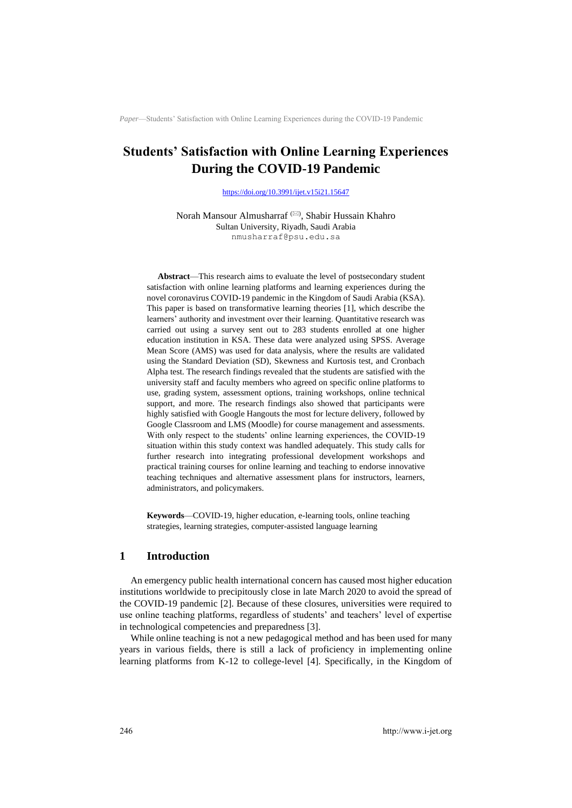# **Students' Satisfaction with Online Learning Experiences During the COVID-19 Pandemic**

<https://doi.org/10.3991/ijet.v15i21.15647>

Norah Mansour Almusharraf<sup>( $\boxtimes$ )</sup>, Shabir Hussain Khahro Sultan University, Riyadh, Saudi Arabia [nmusharraf@psu.edu.sa](mailto:nmusharraf@psu.edu.sa)

**Abstract**—This research aims to evaluate the level of postsecondary student satisfaction with online learning platforms and learning experiences during the novel coronavirus COVID-19 pandemic in the Kingdom of Saudi Arabia (KSA). This paper is based on transformative learning theories [1], which describe the learners' authority and investment over their learning. Quantitative research was carried out using a survey sent out to 283 students enrolled at one higher education institution in KSA. These data were analyzed using SPSS. Average Mean Score (AMS) was used for data analysis, where the results are validated using the Standard Deviation (SD), Skewness and Kurtosis test, and Cronbach Alpha test. The research findings revealed that the students are satisfied with the university staff and faculty members who agreed on specific online platforms to use, grading system, assessment options, training workshops, online technical support, and more. The research findings also showed that participants were highly satisfied with Google Hangouts the most for lecture delivery, followed by Google Classroom and LMS (Moodle) for course management and assessments. With only respect to the students' online learning experiences, the COVID-19 situation within this study context was handled adequately. This study calls for further research into integrating professional development workshops and practical training courses for online learning and teaching to endorse innovative teaching techniques and alternative assessment plans for instructors, learners, administrators, and policymakers.

**Keywords**—COVID-19, higher education, e-learning tools, online teaching strategies, learning strategies, computer-assisted language learning

# **1 Introduction**

An emergency public health international concern has caused most higher education institutions worldwide to precipitously close in late March 2020 to avoid the spread of the COVID-19 pandemic [2]. Because of these closures, universities were required to use online teaching platforms, regardless of students' and teachers' level of expertise in technological competencies and preparedness [3].

While online teaching is not a new pedagogical method and has been used for many years in various fields, there is still a lack of proficiency in implementing online learning platforms from K-12 to college-level [4]. Specifically, in the Kingdom of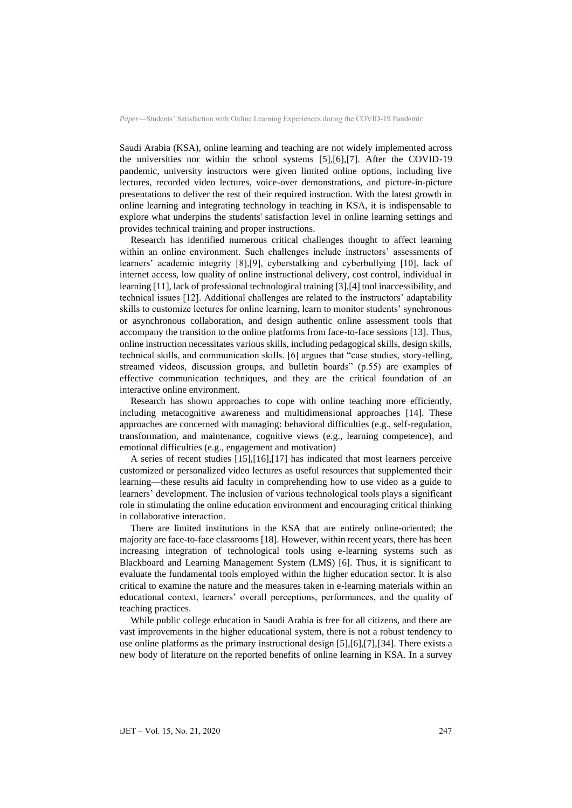Saudi Arabia (KSA), online learning and teaching are not widely implemented across the universities nor within the school systems [5],[6],[7]. After the COVID-19 pandemic, university instructors were given limited online options, including live lectures, recorded video lectures, voice-over demonstrations, and picture-in-picture presentations to deliver the rest of their required instruction. With the latest growth in online learning and integrating technology in teaching in KSA, it is indispensable to explore what underpins the students' satisfaction level in online learning settings and provides technical training and proper instructions.

Research has identified numerous critical challenges thought to affect learning within an online environment. Such challenges include instructors' assessments of learners' academic integrity [8],[9], cyberstalking and cyberbullying [10], lack of internet access, low quality of online instructional delivery, cost control, individual in learning [11], lack of professional technological training [3],[4] tool inaccessibility, and technical issues [12]. Additional challenges are related to the instructors' adaptability skills to customize lectures for online learning, learn to monitor students' synchronous or asynchronous collaboration, and design authentic online assessment tools that accompany the transition to the online platforms from face-to-face sessions [13]. Thus, online instruction necessitates various skills, including pedagogical skills, design skills, technical skills, and communication skills. [6] argues that "case studies, story-telling, streamed videos, discussion groups, and bulletin boards" (p.55) are examples of effective communication techniques, and they are the critical foundation of an interactive online environment.

Research has shown approaches to cope with online teaching more efficiently, including metacognitive awareness and multidimensional approaches [14]. These approaches are concerned with managing: behavioral difficulties (e.g., self-regulation, transformation, and maintenance, cognitive views (e.g., learning competence), and emotional difficulties (e.g., engagement and motivation)

A series of recent studies [15],[16],[17] has indicated that most learners perceive customized or personalized video lectures as useful resources that supplemented their learning—these results aid faculty in comprehending how to use video as a guide to learners' development. The inclusion of various technological tools plays a significant role in stimulating the online education environment and encouraging critical thinking in collaborative interaction.

There are limited institutions in the KSA that are entirely online-oriented; the majority are face-to-face classrooms [18]. However, within recent years, there has been increasing integration of technological tools using e-learning systems such as Blackboard and Learning Management System (LMS) [6]. Thus, it is significant to evaluate the fundamental tools employed within the higher education sector. It is also critical to examine the nature and the measures taken in e-learning materials within an educational context, learners' overall perceptions, performances, and the quality of teaching practices.

While public college education in Saudi Arabia is free for all citizens, and there are vast improvements in the higher educational system, there is not a robust tendency to use online platforms as the primary instructional design [5],[6],[7],[34]. There exists a new body of literature on the reported benefits of online learning in KSA. In a survey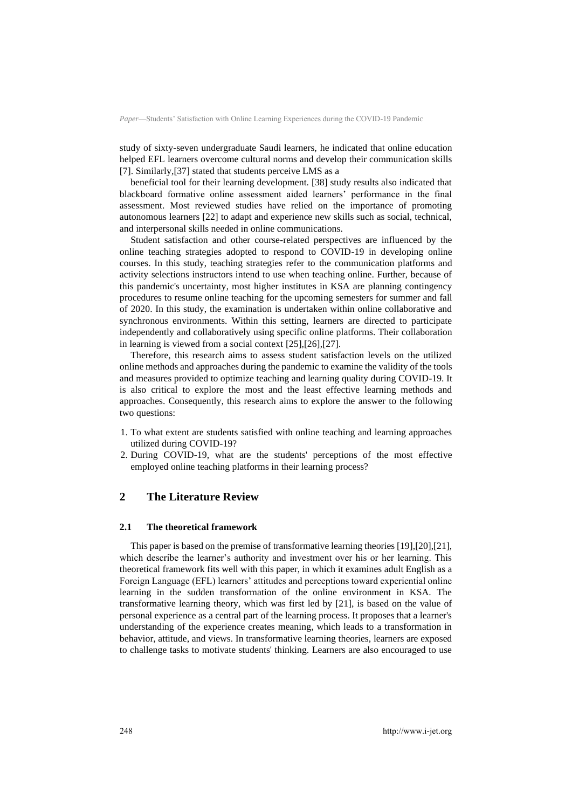study of sixty-seven undergraduate Saudi learners, he indicated that online education helped EFL learners overcome cultural norms and develop their communication skills [7]. Similarly,[37] stated that students perceive LMS as a

beneficial tool for their learning development. [38] study results also indicated that blackboard formative online assessment aided learners' performance in the final assessment. Most reviewed studies have relied on the importance of promoting autonomous learners [22] to adapt and experience new skills such as social, technical, and interpersonal skills needed in online communications.

Student satisfaction and other course-related perspectives are influenced by the online teaching strategies adopted to respond to COVID-19 in developing online courses. In this study, teaching strategies refer to the communication platforms and activity selections instructors intend to use when teaching online. Further, because of this pandemic's uncertainty, most higher institutes in KSA are planning contingency procedures to resume online teaching for the upcoming semesters for summer and fall of 2020. In this study, the examination is undertaken within online collaborative and synchronous environments. Within this setting, learners are directed to participate independently and collaboratively using specific online platforms. Their collaboration in learning is viewed from a social context [25],[26],[27].

Therefore, this research aims to assess student satisfaction levels on the utilized online methods and approaches during the pandemic to examine the validity of the tools and measures provided to optimize teaching and learning quality during COVID-19. It is also critical to explore the most and the least effective learning methods and approaches. Consequently, this research aims to explore the answer to the following two questions:

- 1. To what extent are students satisfied with online teaching and learning approaches utilized during COVID-19?
- 2. During COVID-19, what are the students' perceptions of the most effective employed online teaching platforms in their learning process?

# **2 The Literature Review**

#### **2.1 The theoretical framework**

This paper is based on the premise of transformative learning theories [19],[20],[21], which describe the learner's authority and investment over his or her learning. This theoretical framework fits well with this paper, in which it examines adult English as a Foreign Language (EFL) learners' attitudes and perceptions toward experiential online learning in the sudden transformation of the online environment in KSA. The transformative learning theory, which was first led by [21], is based on the value of personal experience as a central part of the learning process. It proposes that a learner's understanding of the experience creates meaning, which leads to a transformation in behavior, attitude, and views. In transformative learning theories, learners are exposed to challenge tasks to motivate students' thinking. Learners are also encouraged to use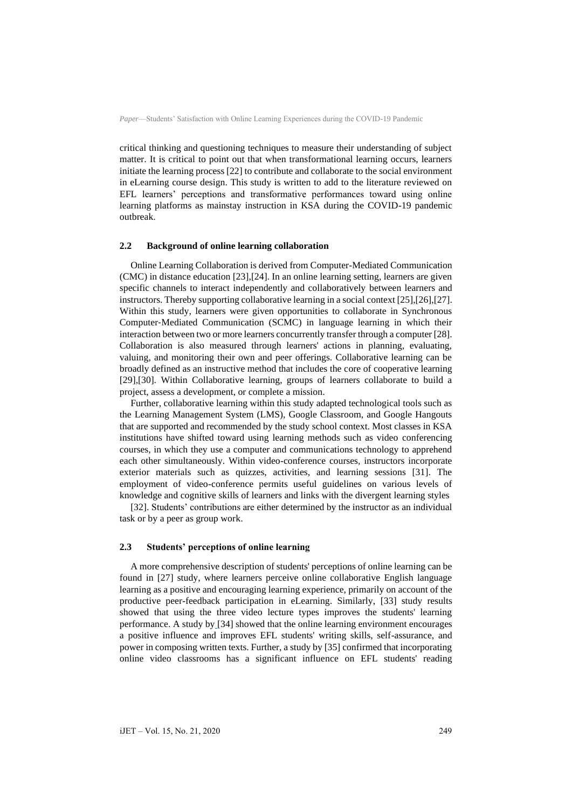critical thinking and questioning techniques to measure their understanding of subject matter. It is critical to point out that when transformational learning occurs, learners initiate the learning process [22] to contribute and collaborate to the social environment in eLearning course design. This study is written to add to the literature reviewed on EFL learners' perceptions and transformative performances toward using online learning platforms as mainstay instruction in KSA during the COVID-19 pandemic outbreak.

### **2.2 Background of online learning collaboration**

Online Learning Collaboration is derived from Computer-Mediated Communication (CMC) in distance education [23],[24]. In an online learning setting, learners are given specific channels to interact independently and collaboratively between learners and instructors. Thereby supporting collaborative learning in a social context [25],[26],[27]. Within this study, learners were given opportunities to collaborate in Synchronous Computer‐Mediated Communication (SCMC) in language learning in which their interaction between two or more learners concurrently transfer through a computer [28]. Collaboration is also measured through learners' actions in planning, evaluating, valuing, and monitoring their own and peer offerings. Collaborative learning can be broadly defined as an instructive method that includes the core of cooperative learning [29],[30]. Within Collaborative learning, groups of learners collaborate to build a project, assess a development, or complete a mission.

Further, collaborative learning within this study adapted technological tools such as the Learning Management System (LMS), Google Classroom, and Google Hangouts that are supported and recommended by the study school context. Most classes in KSA institutions have shifted toward using learning methods such as video conferencing courses, in which they use a computer and communications technology to apprehend each other simultaneously. Within video-conference courses, instructors incorporate exterior materials such as quizzes, activities, and learning sessions [31]. The employment of video-conference permits useful guidelines on various levels of knowledge and cognitive skills of learners and links with the divergent learning styles

[32]. Students' contributions are either determined by the instructor as an individual task or by a peer as group work.

#### **2.3 Students' perceptions of online learning**

A more comprehensive description of students' perceptions of online learning can be found in [27] study, where learners perceive online collaborative English language learning as a positive and encouraging learning experience, primarily on account of the productive peer-feedback participation in eLearning. Similarly, [33] study results showed that using the three video lecture types improves the students' learning performance. A study by [34] showed that the online learning environment encourages a positive influence and improves EFL students' writing skills, self-assurance, and power in composing written texts. Further, a study by [35] confirmed that incorporating online video classrooms has a significant influence on EFL students' reading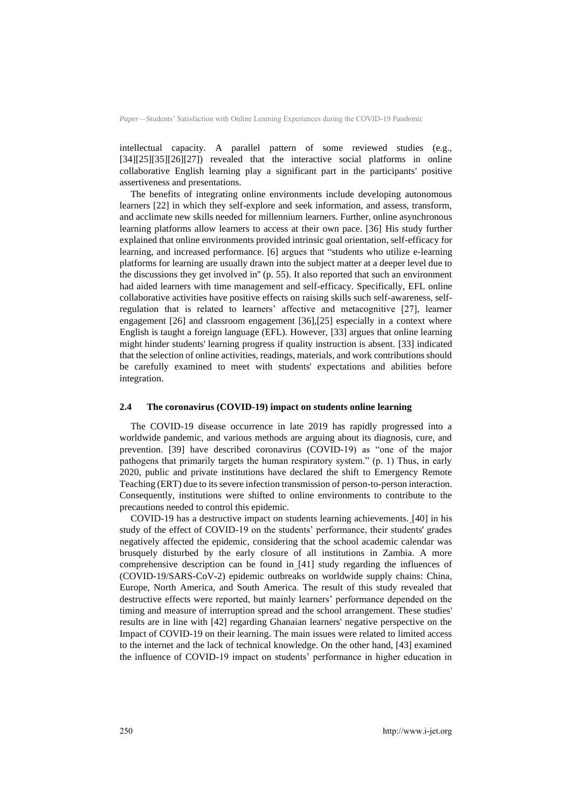intellectual capacity. A parallel pattern of some reviewed studies (e.g., [34][25][35][26][27]) revealed that the interactive social platforms in online collaborative English learning play a significant part in the participants' positive assertiveness and presentations.

The benefits of integrating online environments include developing autonomous learners [22] in which they self-explore and seek information, and assess, transform, and acclimate new skills needed for millennium learners. Further, online asynchronous learning platforms allow learners to access at their own pace. [36] His study further explained that online environments provided intrinsic goal orientation, self-efficacy for learning, and increased performance. [6] argues that "students who utilize e-learning platforms for learning are usually drawn into the subject matter at a deeper level due to the discussions they get involved in'' (p. 55). It also reported that such an environment had aided learners with time management and self-efficacy. Specifically, EFL online collaborative activities have positive effects on raising skills such self-awareness, selfregulation that is related to learners' affective and metacognitive [27], learner engagement [26] and classroom engagement [36],[25] especially in a context where English is taught a foreign language (EFL). However, [33] argues that online learning might hinder students' learning progress if quality instruction is absent. [33] indicated that the selection of online activities, readings, materials, and work contributions should be carefully examined to meet with students' expectations and abilities before integration.

### **2.4 The coronavirus (COVID-19) impact on students online learning**

The COVID-19 disease occurrence in late 2019 has rapidly progressed into a worldwide pandemic, and various methods are arguing about its diagnosis, cure, and prevention. [39] have described coronavirus (COVID-19) as "one of the major pathogens that primarily targets the human respiratory system." (p. 1) Thus, in early 2020, public and private institutions have declared the shift to Emergency Remote Teaching (ERT) due to its severe infection transmission of person-to-person interaction. Consequently, institutions were shifted to online environments to contribute to the precautions needed to control this epidemic.

COVID-19 has a destructive impact on students learning achievements. [40] in his study of the effect of COVID-19 on the students' performance, their students' grades negatively affected the epidemic, considering that the school academic calendar was brusquely disturbed by the early closure of all institutions in Zambia. A more comprehensive description can be found in [41] study regarding the influences of (COVID-19/SARS-CoV-2) epidemic outbreaks on worldwide supply chains: China, Europe, North America, and South America. The result of this study revealed that destructive effects were reported, but mainly learners' performance depended on the timing and measure of interruption spread and the school arrangement. These studies' results are in line with [42] regarding Ghanaian learners' negative perspective on the Impact of COVID-19 on their learning. The main issues were related to limited access to the internet and the lack of technical knowledge. On the other hand, [43] examined the influence of COVID-19 impact on students' performance in higher education in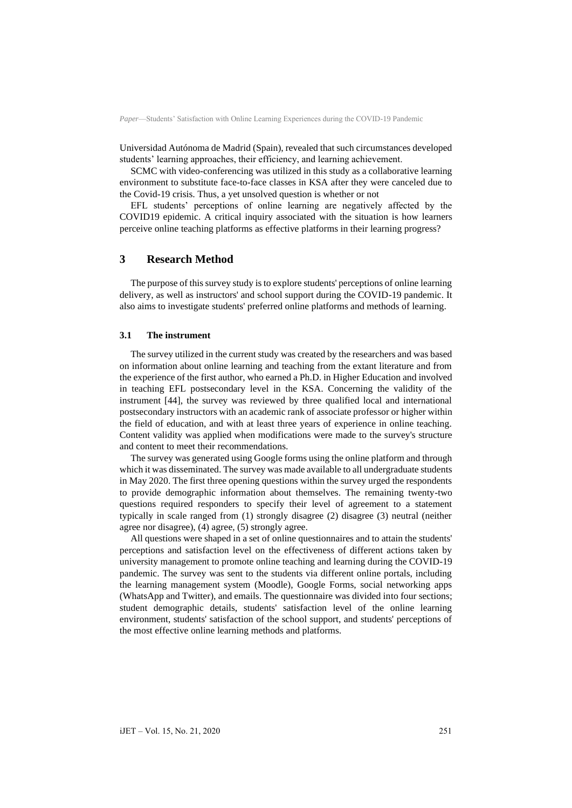Universidad Autónoma de Madrid (Spain), revealed that such circumstances developed students' learning approaches, their efficiency, and learning achievement.

SCMC with video-conferencing was utilized in this study as a collaborative learning environment to substitute face-to-face classes in KSA after they were canceled due to the Covid-19 crisis. Thus, a yet unsolved question is whether or not

EFL students' perceptions of online learning are negatively affected by the COVID19 epidemic. A critical inquiry associated with the situation is how learners perceive online teaching platforms as effective platforms in their learning progress?

# **3 Research Method**

The purpose of this survey study is to explore students' perceptions of online learning delivery, as well as instructors' and school support during the COVID-19 pandemic. It also aims to investigate students' preferred online platforms and methods of learning.

### **3.1 The instrument**

The survey utilized in the current study was created by the researchers and was based on information about online learning and teaching from the extant literature and from the experience of the first author, who earned a Ph.D. in Higher Education and involved in teaching EFL postsecondary level in the KSA. Concerning the validity of the instrument [44], the survey was reviewed by three qualified local and international postsecondary instructors with an academic rank of associate professor or higher within the field of education, and with at least three years of experience in online teaching. Content validity was applied when modifications were made to the survey's structure and content to meet their recommendations.

The survey was generated using Google forms using the online platform and through which it was disseminated. The survey was made available to all undergraduate students in May 2020. The first three opening questions within the survey urged the respondents to provide demographic information about themselves. The remaining twenty-two questions required responders to specify their level of agreement to a statement typically in scale ranged from (1) strongly disagree (2) disagree (3) neutral (neither agree nor disagree), (4) agree, (5) strongly agree.

All questions were shaped in a set of online questionnaires and to attain the students' perceptions and satisfaction level on the effectiveness of different actions taken by university management to promote online teaching and learning during the COVID-19 pandemic. The survey was sent to the students via different online portals, including the learning management system (Moodle), Google Forms, social networking apps (WhatsApp and Twitter), and emails. The questionnaire was divided into four sections; student demographic details, students' satisfaction level of the online learning environment, students' satisfaction of the school support, and students' perceptions of the most effective online learning methods and platforms.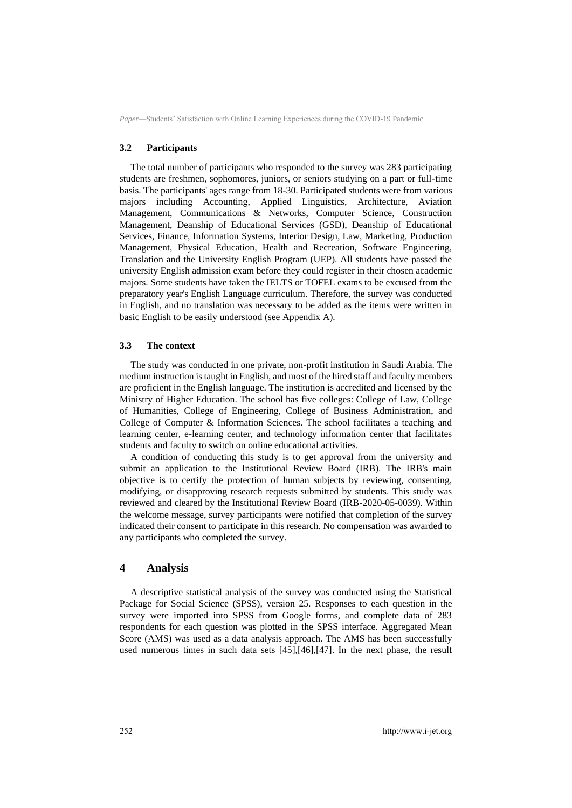#### **3.2 Participants**

The total number of participants who responded to the survey was 283 participating students are freshmen, sophomores, juniors, or seniors studying on a part or full-time basis. The participants' ages range from 18-30. Participated students were from various majors including Accounting, Applied Linguistics, Architecture, Aviation Management, Communications & Networks, Computer Science, Construction Management, Deanship of Educational Services (GSD), Deanship of Educational Services, Finance, Information Systems, Interior Design, Law, Marketing, Production Management, Physical Education, Health and Recreation, Software Engineering, Translation and the University English Program (UEP). All students have passed the university English admission exam before they could register in their chosen academic majors. Some students have taken the IELTS or TOFEL exams to be excused from the preparatory year's English Language curriculum. Therefore, the survey was conducted in English, and no translation was necessary to be added as the items were written in basic English to be easily understood (see Appendix A).

### **3.3 The context**

The study was conducted in one private, non-profit institution in Saudi Arabia. The medium instruction is taught in English, and most of the hired staff and faculty members are proficient in the English language. The institution is accredited and licensed by the Ministry of Higher Education. The school has five colleges: College of Law, College of Humanities, College of Engineering, College of Business Administration, and College of Computer & Information Sciences. The school facilitates a teaching and learning center, e-learning center, and technology information center that facilitates students and faculty to switch on online educational activities.

A condition of conducting this study is to get approval from the university and submit an application to the Institutional Review Board (IRB). The IRB's main objective is to certify the protection of human subjects by reviewing, consenting, modifying, or disapproving research requests submitted by students. This study was reviewed and cleared by the Institutional Review Board (IRB-2020-05-0039). Within the welcome message, survey participants were notified that completion of the survey indicated their consent to participate in this research. No compensation was awarded to any participants who completed the survey.

## **4 Analysis**

A descriptive statistical analysis of the survey was conducted using the Statistical Package for Social Science (SPSS), version 25. Responses to each question in the survey were imported into SPSS from Google forms, and complete data of 283 respondents for each question was plotted in the SPSS interface. Aggregated Mean Score (AMS) was used as a data analysis approach. The AMS has been successfully used numerous times in such data sets [45],[46],[47]. In the next phase, the result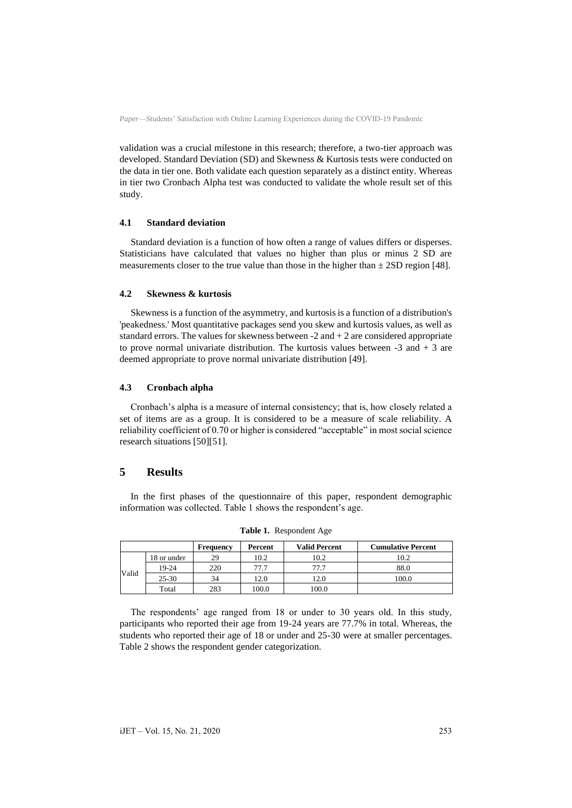validation was a crucial milestone in this research; therefore, a two-tier approach was developed. Standard Deviation (SD) and Skewness & Kurtosis tests were conducted on the data in tier one. Both validate each question separately as a distinct entity. Whereas in tier two Cronbach Alpha test was conducted to validate the whole result set of this study.

#### **4.1 Standard deviation**

Standard deviation is a function of how often a range of values differs or disperses. Statisticians have calculated that values no higher than plus or minus 2 SD are measurements closer to the true value than those in the higher than  $\pm$  2SD region [48].

### **4.2 Skewness & kurtosis**

Skewness is a function of the asymmetry, and kurtosis is a function of a distribution's 'peakedness.' Most quantitative packages send you skew and kurtosis values, as well as standard errors. The values for skewness between  $-2$  and  $+2$  are considered appropriate to prove normal univariate distribution. The kurtosis values between  $-3$  and  $+3$  are deemed appropriate to prove normal univariate distribution [49].

#### **4.3 Cronbach alpha**

Cronbach's alpha is a measure of internal consistency; that is, how closely related a set of items are as a group. It is considered to be a measure of scale reliability. A reliability coefficient of 0.70 or higher is considered "acceptable" in most social science research situations [50][51].

### **5 Results**

In the first phases of the questionnaire of this paper, respondent demographic information was collected. Table 1 shows the respondent's age.

|       |              | <b>Frequency</b> | Percent | <b>Valid Percent</b> | <b>Cumulative Percent</b> |
|-------|--------------|------------------|---------|----------------------|---------------------------|
| Valid | 18 or under  | 29               | 10.2    | 10.2                 | 10.2                      |
|       | 19-24<br>220 |                  | 77.7    | 77.7                 | 88.0                      |
|       | $25 - 30$    | 34               | 12.0    | 12.0                 | 100.0                     |
|       | Total        | 283              | 100.0   | 100.0                |                           |

**Table 1.** Respondent Age

The respondents' age ranged from 18 or under to 30 years old. In this study, participants who reported their age from 19-24 years are 77.7% in total. Whereas, the students who reported their age of 18 or under and 25-30 were at smaller percentages. Table 2 shows the respondent gender categorization.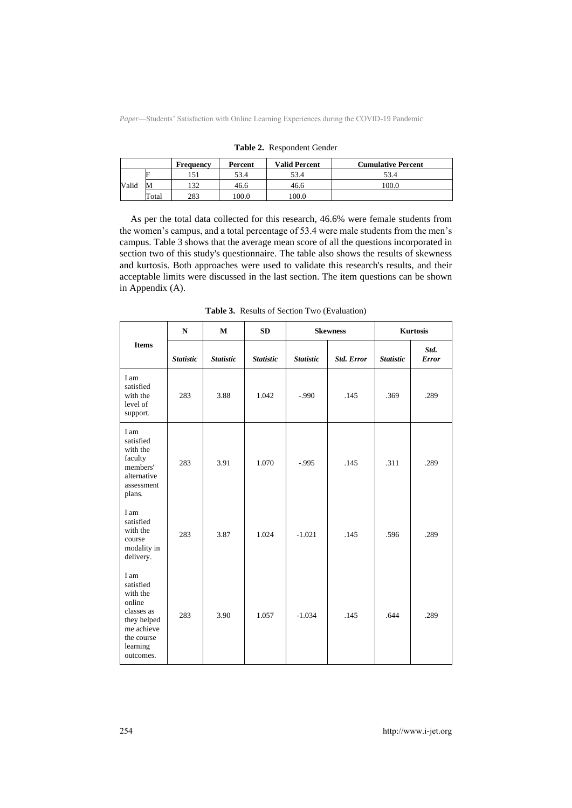|       |       | Frequency | Percent | <b>Valid Percent</b> | <b>Cumulative Percent</b> |
|-------|-------|-----------|---------|----------------------|---------------------------|
| Valid |       | 151       | 53.4    | 53.4                 | 53.4                      |
|       | M     | 132       | 46.6    | 46.6                 | 100.0                     |
|       | Total | 283       | 100.0   | 100.0                |                           |

**Table 2.** Respondent Gender

As per the total data collected for this research, 46.6% were female students from the women's campus, and a total percentage of 53.4 were male students from the men's campus. Table 3 shows that the average mean score of all the questions incorporated in section two of this study's questionnaire. The table also shows the results of skewness and kurtosis. Both approaches were used to validate this research's results, and their acceptable limits were discussed in the last section. The item questions can be shown in Appendix (A).

**Items N M SD Skewness Kurtosis** *Statistic Statistic Statistic Statistic Std. Error Statistic Std. Error* I am satisfied with the level of support. 283 | 3.88 | 1.042 | -.990 | .145 | .369 | .289 I am satisfied with the faculty members' alternative assessment plans. 283 | 3.91 | 1.070 | -.995 | .145 | .311 | .289 I am satisfied with the course modality in delivery. 283 | 3.87 | 1.024 | -1.021 | .145 | .596 | .289 I am satisfied with the online classes as they helped me achieve the course learning outcomes. 283 | 3.90 | 1.057 | -1.034 | .145 | .644 | .289

**Table 3.** Results of Section Two (Evaluation)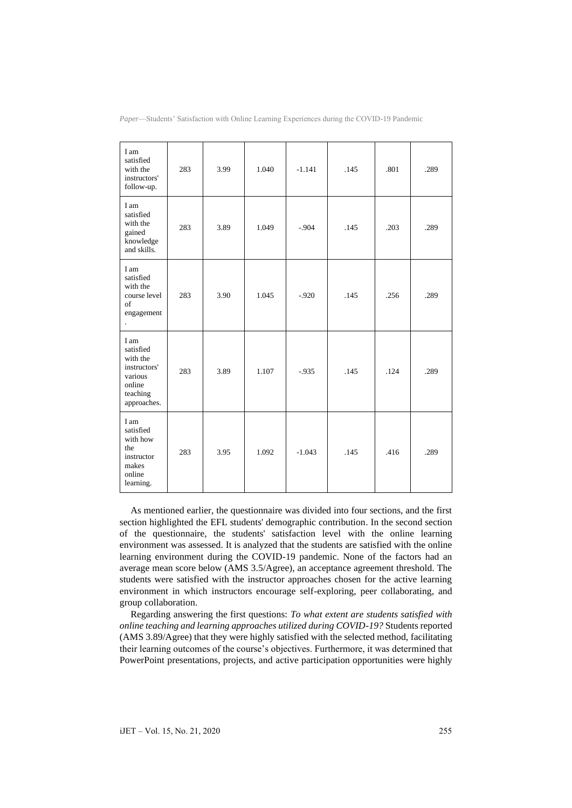| I am<br>satisfied<br>with the<br>instructors'<br>follow-up.                                   | 283 | 3.99 | 1.040 | $-1.141$ | .145 | .801 | .289 |
|-----------------------------------------------------------------------------------------------|-----|------|-------|----------|------|------|------|
| I am<br>satisfied<br>with the<br>gained<br>knowledge<br>and skills.                           | 283 | 3.89 | 1.049 | $-.904$  | .145 | .203 | .289 |
| I am<br>satisfied<br>with the<br>course level<br>$\sigma$ f<br>engagement<br>$\blacksquare$   | 283 | 3.90 | 1.045 | $-0.920$ | .145 | .256 | .289 |
| I am<br>satisfied<br>with the<br>instructors'<br>various<br>online<br>teaching<br>approaches. | 283 | 3.89 | 1.107 | $-.935$  | .145 | .124 | .289 |
| I am<br>satisfied<br>with how<br>the<br>instructor<br>makes<br>online<br>learning.            | 283 | 3.95 | 1.092 | $-1.043$ | .145 | .416 | .289 |

As mentioned earlier, the questionnaire was divided into four sections, and the first section highlighted the EFL students' demographic contribution. In the second section of the questionnaire, the students' satisfaction level with the online learning environment was assessed. It is analyzed that the students are satisfied with the online learning environment during the COVID-19 pandemic. None of the factors had an average mean score below (AMS 3.5/Agree), an acceptance agreement threshold. The students were satisfied with the instructor approaches chosen for the active learning environment in which instructors encourage self-exploring, peer collaborating, and group collaboration.

Regarding answering the first questions: *To what extent are students satisfied with online teaching and learning approaches utilized during COVID-19?* Students reported (AMS 3.89/Agree) that they were highly satisfied with the selected method, facilitating their learning outcomes of the course's objectives. Furthermore, it was determined that PowerPoint presentations, projects, and active participation opportunities were highly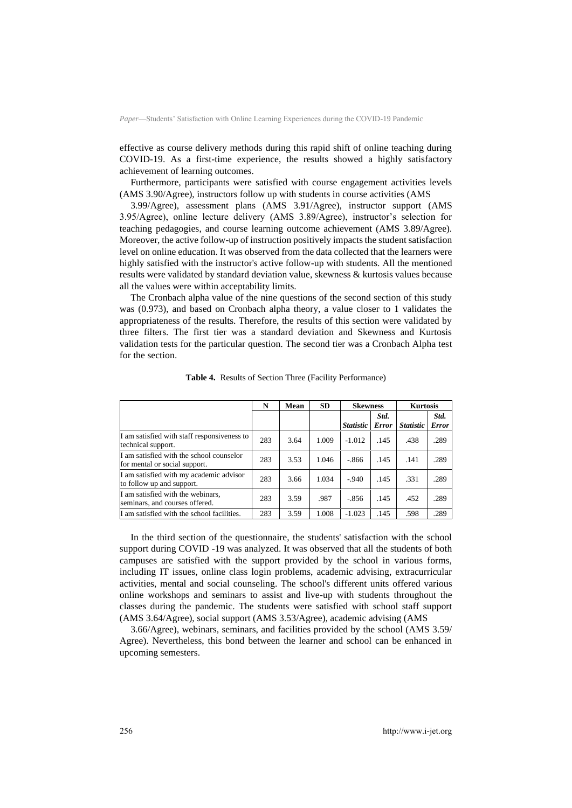effective as course delivery methods during this rapid shift of online teaching during COVID-19. As a first-time experience, the results showed a highly satisfactory achievement of learning outcomes.

Furthermore, participants were satisfied with course engagement activities levels (AMS 3.90/Agree), instructors follow up with students in course activities (AMS

3.99/Agree), assessment plans (AMS 3.91/Agree), instructor support (AMS 3.95/Agree), online lecture delivery (AMS 3.89/Agree), instructor's selection for teaching pedagogies, and course learning outcome achievement (AMS 3.89/Agree). Moreover, the active follow-up of instruction positively impacts the student satisfaction level on online education. It was observed from the data collected that the learners were highly satisfied with the instructor's active follow-up with students. All the mentioned results were validated by standard deviation value, skewness & kurtosis values because all the values were within acceptability limits.

The Cronbach alpha value of the nine questions of the second section of this study was (0.973), and based on Cronbach alpha theory, a value closer to 1 validates the appropriateness of the results. Therefore, the results of this section were validated by three filters. The first tier was a standard deviation and Skewness and Kurtosis validation tests for the particular question. The second tier was a Cronbach Alpha test for the section.

|                                                                           | N   | Mean | <b>SD</b> | <b>Skewness</b>  |                      | <b>Kurtosis</b>         |                      |
|---------------------------------------------------------------------------|-----|------|-----------|------------------|----------------------|-------------------------|----------------------|
|                                                                           |     |      |           | <b>Statistic</b> | Std.<br><b>Error</b> | <i><b>Statistic</b></i> | Std.<br><b>Error</b> |
| I am satisfied with staff responsiveness to<br>technical support.         | 283 | 3.64 | 1.009     | $-1.012$         | .145                 | .438                    | .289                 |
| I am satisfied with the school counselor<br>for mental or social support. | 283 | 3.53 | 1.046     | $-866$           | .145                 | .141                    | .289                 |
| I am satisfied with my academic advisor<br>to follow up and support.      | 283 | 3.66 | 1.034     | $-940$           | .145                 | .331                    | .289                 |
| I am satisfied with the webinars,<br>seminars, and courses offered.       | 283 | 3.59 | .987      | $-.856$          | .145                 | .452                    | .289                 |
| I am satisfied with the school facilities.                                | 283 | 3.59 | 1.008     | $-1.023$         | .145                 | .598                    | .289                 |

**Table 4.** Results of Section Three (Facility Performance)

In the third section of the questionnaire, the students' satisfaction with the school support during COVID -19 was analyzed. It was observed that all the students of both campuses are satisfied with the support provided by the school in various forms, including IT issues, online class login problems, academic advising, extracurricular activities, mental and social counseling. The school's different units offered various online workshops and seminars to assist and live-up with students throughout the classes during the pandemic. The students were satisfied with school staff support (AMS 3.64/Agree), social support (AMS 3.53/Agree), academic advising (AMS

3.66/Agree), webinars, seminars, and facilities provided by the school (AMS 3.59/ Agree). Nevertheless, this bond between the learner and school can be enhanced in upcoming semesters.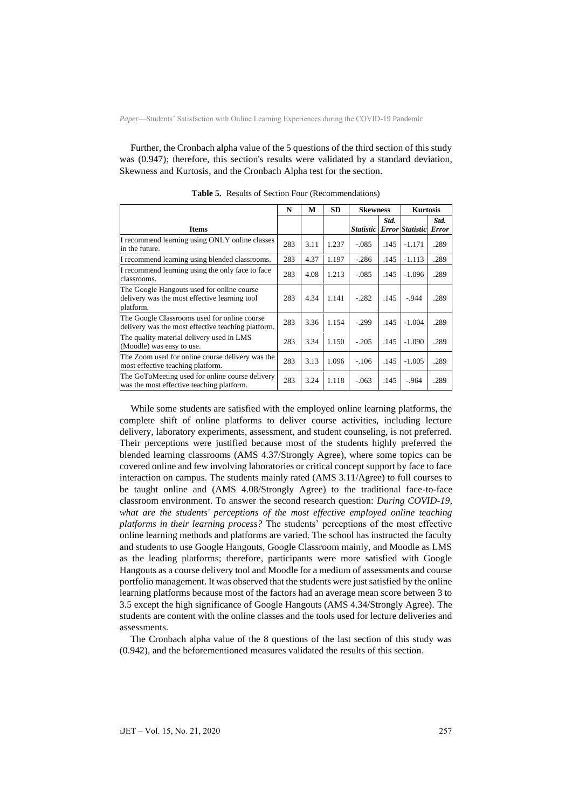Further, the Cronbach alpha value of the 5 questions of the third section of this study was (0.947); therefore, this section's results were validated by a standard deviation, Skewness and Kurtosis, and the Cronbach Alpha test for the section.

|                                                                                                          | N   | М    | <b>SD</b> | <b>Skewness</b>  |      | <b>Kurtosis</b>        |                      |
|----------------------------------------------------------------------------------------------------------|-----|------|-----------|------------------|------|------------------------|----------------------|
| <b>Items</b>                                                                                             |     |      |           | <b>Statistic</b> | Std. | <b>Error</b> Statistic | Std.<br><b>Error</b> |
| I recommend learning using ONLY online classes<br>in the future.                                         | 283 | 3.11 | 1.237     | $-.085$          | .145 | $-1.171$               | .289                 |
| I recommend learning using blended classrooms.                                                           | 283 | 4.37 | 1.197     | $-.286$          | .145 | $-1.113$               | .289                 |
| I recommend learning using the only face to face<br>classrooms.                                          | 283 | 4.08 | 1.213     | $-.085$          | .145 | $-1.096$               | .289                 |
| The Google Hangouts used for online course<br>delivery was the most effective learning tool<br>platform. | 283 | 4.34 | 1.141     | $-.282$          | .145 | $-944$                 | .289                 |
| The Google Classrooms used for online course<br>delivery was the most effective teaching platform.       | 283 | 3.36 | 1.154     | $-.299$          | .145 | $-1.004$               | .289                 |
| The quality material delivery used in LMS<br>(Moodle) was easy to use.                                   | 283 | 3.34 | 1.150     | $-.205$          | .145 | $-1.090$               | .289                 |
| The Zoom used for online course delivery was the<br>most effective teaching platform.                    | 283 | 3.13 | 1.096     | $-.106$          | .145 | $-1.005$               | .289                 |
| The GoToMeeting used for online course delivery<br>was the most effective teaching platform.             | 283 | 3.24 | 1.118     | $-.063$          | .145 | $-964$                 | .289                 |

**Table 5.** Results of Section Four (Recommendations)

While some students are satisfied with the employed online learning platforms, the complete shift of online platforms to deliver course activities, including lecture delivery, laboratory experiments, assessment, and student counseling, is not preferred. Their perceptions were justified because most of the students highly preferred the blended learning classrooms (AMS 4.37/Strongly Agree), where some topics can be covered online and few involving laboratories or critical concept support by face to face interaction on campus. The students mainly rated (AMS 3.11/Agree) to full courses to be taught online and (AMS 4.08/Strongly Agree) to the traditional face-to-face classroom environment. To answer the second research question: *During COVID-19,*  what are the students' perceptions of the most effective employed online teaching *platforms in their learning process?* The students' perceptions of the most effective online learning methods and platforms are varied. The school has instructed the faculty and students to use Google Hangouts, Google Classroom mainly, and Moodle as LMS as the leading platforms; therefore, participants were more satisfied with Google Hangouts as a course delivery tool and Moodle for a medium of assessments and course portfolio management. It was observed that the students were just satisfied by the online learning platforms because most of the factors had an average mean score between 3 to 3.5 except the high significance of Google Hangouts (AMS 4.34/Strongly Agree). The students are content with the online classes and the tools used for lecture deliveries and assessments.

The Cronbach alpha value of the 8 questions of the last section of this study was (0.942), and the beforementioned measures validated the results of this section.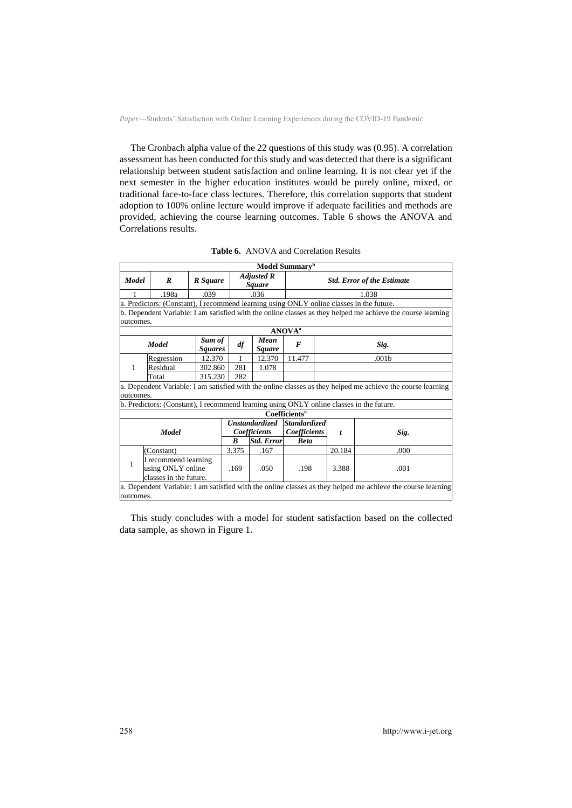The Cronbach alpha value of the 22 questions of this study was (0.95). A correlation assessment has been conducted for this study and was detected that there is a significant relationship between student satisfaction and online learning. It is not clear yet if the next semester in the higher education institutes would be purely online, mixed, or traditional face-to-face class lectures. Therefore, this correlation supports that student adoption to 100% online lecture would improve if adequate facilities and methods are provided, achieving the course learning outcomes. Table 6 shows the ANOVA and Correlations results.

|  | <b>Table 6.</b> ANOVA and Correlation Results |  |
|--|-----------------------------------------------|--|
|  |                                               |  |

|                                          |                                                                                          |          |                                    |                       | Model Summary <sup>b</sup>        |                   |                                                                                                             |  |  |
|------------------------------------------|------------------------------------------------------------------------------------------|----------|------------------------------------|-----------------------|-----------------------------------|-------------------|-------------------------------------------------------------------------------------------------------------|--|--|
| <b>Model</b>                             | $\boldsymbol{R}$                                                                         | R Square | <b>Adjusted R</b><br><b>Square</b> |                       | <b>Std. Error of the Estimate</b> |                   |                                                                                                             |  |  |
|                                          | .198a                                                                                    | .039     | .036                               |                       |                                   |                   | 1.038                                                                                                       |  |  |
|                                          | a. Predictors: (Constant), I recommend learning using ONLY online classes in the future. |          |                                    |                       |                                   |                   |                                                                                                             |  |  |
| outcomes.                                |                                                                                          |          |                                    |                       |                                   |                   | b. Dependent Variable: I am satisfied with the online classes as they helped me achieve the course learning |  |  |
|                                          |                                                                                          |          |                                    |                       | <b>ANOVA</b> <sup>a</sup>         |                   |                                                                                                             |  |  |
| Sum of<br><b>Model</b><br><b>Squares</b> |                                                                                          |          | df                                 | Mean<br><b>Square</b> | F                                 | Sig.              |                                                                                                             |  |  |
|                                          | Regression                                                                               | 12.370   | 1                                  | 12.370                | 11.477                            | .001 <sub>b</sub> |                                                                                                             |  |  |
| 1                                        | Residual                                                                                 | 302.860  | 281                                | 1.078                 |                                   |                   |                                                                                                             |  |  |
|                                          | Total                                                                                    | 315.230  | 282                                |                       |                                   |                   |                                                                                                             |  |  |
| outcomes.                                |                                                                                          |          |                                    |                       |                                   |                   | a. Dependent Variable: I am satisfied with the online classes as they helped me achieve the course learning |  |  |
|                                          | b. Predictors: (Constant), I recommend learning using ONLY online classes in the future. |          |                                    |                       |                                   |                   |                                                                                                             |  |  |
|                                          |                                                                                          |          |                                    |                       | Coefficients <sup>a</sup>         |                   |                                                                                                             |  |  |
|                                          |                                                                                          |          |                                    | <b>Unstandardized</b> | <b>Standardized</b>               |                   |                                                                                                             |  |  |
|                                          | <b>Model</b>                                                                             |          |                                    | Coefficients          | Coefficients                      | t                 | Sig.                                                                                                        |  |  |
|                                          |                                                                                          |          | B                                  | <b>Std. Error</b>     | <b>Beta</b>                       |                   |                                                                                                             |  |  |
|                                          | Constant)                                                                                |          | 3.375                              | .167                  |                                   | 20.184            | .000                                                                                                        |  |  |
| $\mathbf{1}$                             | I recommend learning<br>using ONLY online<br>classes in the future.                      |          | .169                               | .050                  | .198                              | 3.388             | .001                                                                                                        |  |  |
| outcomes.                                |                                                                                          |          |                                    |                       |                                   |                   | a. Dependent Variable: I am satisfied with the online classes as they helped me achieve the course learning |  |  |

This study concludes with a model for student satisfaction based on the collected data sample, as shown in Figure 1.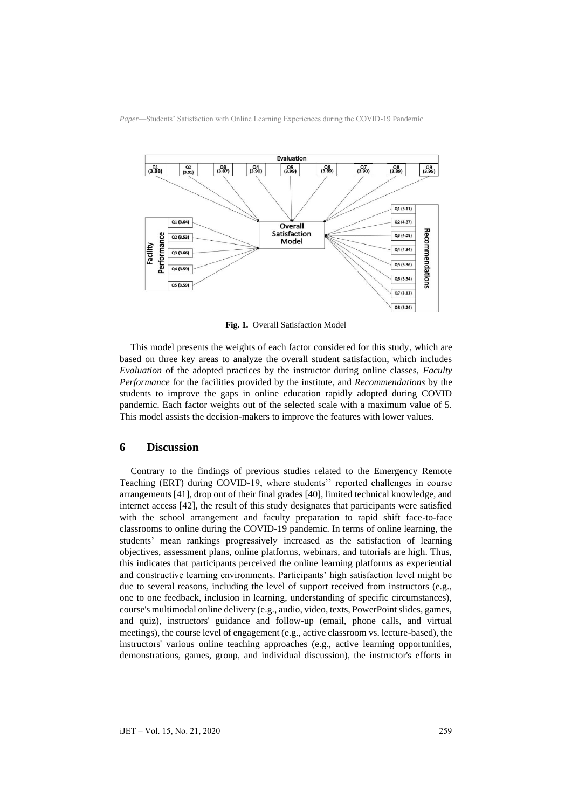

**Fig. 1.** Overall Satisfaction Model

This model presents the weights of each factor considered for this study, which are based on three key areas to analyze the overall student satisfaction, which includes *Evaluation* of the adopted practices by the instructor during online classes, *Faculty Performance* for the facilities provided by the institute, and *Recommendations* by the students to improve the gaps in online education rapidly adopted during COVID pandemic. Each factor weights out of the selected scale with a maximum value of 5. This model assists the decision-makers to improve the features with lower values.

### **6 Discussion**

Contrary to the findings of previous studies related to the Emergency Remote Teaching (ERT) during COVID-19, where students'' reported challenges in course arrangements [41], drop out of their final grades [40], limited technical knowledge, and internet access [42], the result of this study designates that participants were satisfied with the school arrangement and faculty preparation to rapid shift face-to-face classrooms to online during the COVID-19 pandemic. In terms of online learning, the students' mean rankings progressively increased as the satisfaction of learning objectives, assessment plans, online platforms, webinars, and tutorials are high. Thus, this indicates that participants perceived the online learning platforms as experiential and constructive learning environments. Participants' high satisfaction level might be due to several reasons, including the level of support received from instructors (e.g., one to one feedback, inclusion in learning, understanding of specific circumstances), course's multimodal online delivery (e.g., audio, video, texts, PowerPoint slides, games, and quiz), instructors' guidance and follow-up (email, phone calls, and virtual meetings), the course level of engagement (e.g., active classroom vs. lecture-based), the instructors' various online teaching approaches (e.g., active learning opportunities, demonstrations, games, group, and individual discussion), the instructor's efforts in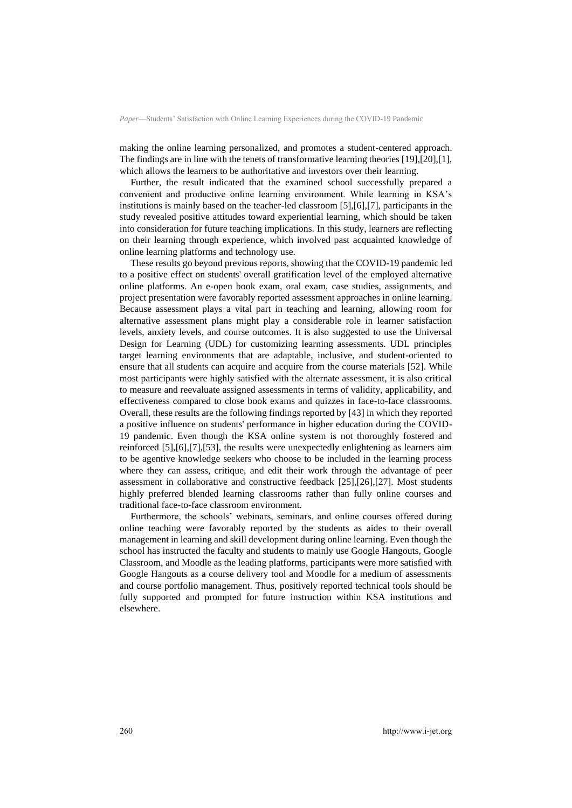making the online learning personalized, and promotes a student-centered approach. The findings are in line with the tenets of transformative learning theories [19],[20],[1], which allows the learners to be authoritative and investors over their learning.

Further, the result indicated that the examined school successfully prepared a convenient and productive online learning environment. While learning in KSA's institutions is mainly based on the teacher-led classroom [5],[6],[7], participants in the study revealed positive attitudes toward experiential learning, which should be taken into consideration for future teaching implications. In this study, learners are reflecting on their learning through experience, which involved past acquainted knowledge of online learning platforms and technology use.

These results go beyond previous reports, showing that the COVID-19 pandemic led to a positive effect on students' overall gratification level of the employed alternative online platforms. An e-open book exam, oral exam, case studies, assignments, and project presentation were favorably reported assessment approaches in online learning. Because assessment plays a vital part in teaching and learning, allowing room for alternative assessment plans might play a considerable role in learner satisfaction levels, anxiety levels, and course outcomes. It is also suggested to use the Universal Design for Learning (UDL) for customizing learning assessments. UDL principles target learning environments that are adaptable, inclusive, and student-oriented to ensure that all students can acquire and acquire from the course materials [52]. While most participants were highly satisfied with the alternate assessment, it is also critical to measure and reevaluate assigned assessments in terms of validity, applicability, and effectiveness compared to close book exams and quizzes in face-to-face classrooms. Overall, these results are the following findings reported by [43] in which they reported a positive influence on students' performance in higher education during the COVID-19 pandemic. Even though the KSA online system is not thoroughly fostered and reinforced [5],[6],[7],[53], the results were unexpectedly enlightening as learners aim to be agentive knowledge seekers who choose to be included in the learning process where they can assess, critique, and edit their work through the advantage of peer assessment in collaborative and constructive feedback [25],[26],[27]. Most students highly preferred blended learning classrooms rather than fully online courses and traditional face-to-face classroom environment.

Furthermore, the schools' webinars, seminars, and online courses offered during online teaching were favorably reported by the students as aides to their overall management in learning and skill development during online learning. Even though the school has instructed the faculty and students to mainly use Google Hangouts, Google Classroom, and Moodle as the leading platforms, participants were more satisfied with Google Hangouts as a course delivery tool and Moodle for a medium of assessments and course portfolio management. Thus, positively reported technical tools should be fully supported and prompted for future instruction within KSA institutions and elsewhere.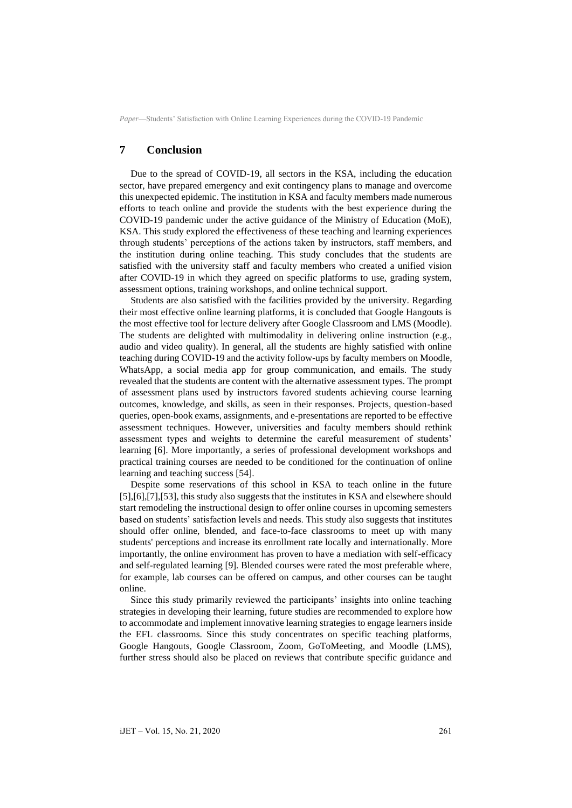# **7 Conclusion**

Due to the spread of COVID-19, all sectors in the KSA, including the education sector, have prepared emergency and exit contingency plans to manage and overcome this unexpected epidemic. The institution in KSA and faculty members made numerous efforts to teach online and provide the students with the best experience during the COVID-19 pandemic under the active guidance of the Ministry of Education (MoE), KSA. This study explored the effectiveness of these teaching and learning experiences through students' perceptions of the actions taken by instructors, staff members, and the institution during online teaching. This study concludes that the students are satisfied with the university staff and faculty members who created a unified vision after COVID-19 in which they agreed on specific platforms to use, grading system, assessment options, training workshops, and online technical support.

Students are also satisfied with the facilities provided by the university. Regarding their most effective online learning platforms, it is concluded that Google Hangouts is the most effective tool for lecture delivery after Google Classroom and LMS (Moodle). The students are delighted with multimodality in delivering online instruction (e.g., audio and video quality). In general, all the students are highly satisfied with online teaching during COVID-19 and the activity follow-ups by faculty members on Moodle, WhatsApp, a social media app for group communication, and emails. The study revealed that the students are content with the alternative assessment types. The prompt of assessment plans used by instructors favored students achieving course learning outcomes, knowledge, and skills, as seen in their responses. Projects, question-based queries, open-book exams, assignments, and e-presentations are reported to be effective assessment techniques. However, universities and faculty members should rethink assessment types and weights to determine the careful measurement of students' learning [6]. More importantly, a series of professional development workshops and practical training courses are needed to be conditioned for the continuation of online learning and teaching success [54].

Despite some reservations of this school in KSA to teach online in the future [5],[6],[7],[53], this study also suggests that the institutes in KSA and elsewhere should start remodeling the instructional design to offer online courses in upcoming semesters based on students' satisfaction levels and needs. This study also suggests that institutes should offer online, blended, and face-to-face classrooms to meet up with many students' perceptions and increase its enrollment rate locally and internationally. More importantly, the online environment has proven to have a mediation with self-efficacy and self-regulated learning [9]. Blended courses were rated the most preferable where, for example, lab courses can be offered on campus, and other courses can be taught online.

Since this study primarily reviewed the participants' insights into online teaching strategies in developing their learning, future studies are recommended to explore how to accommodate and implement innovative learning strategies to engage learners inside the EFL classrooms. Since this study concentrates on specific teaching platforms, Google Hangouts, Google Classroom, Zoom, GoToMeeting, and Moodle (LMS), further stress should also be placed on reviews that contribute specific guidance and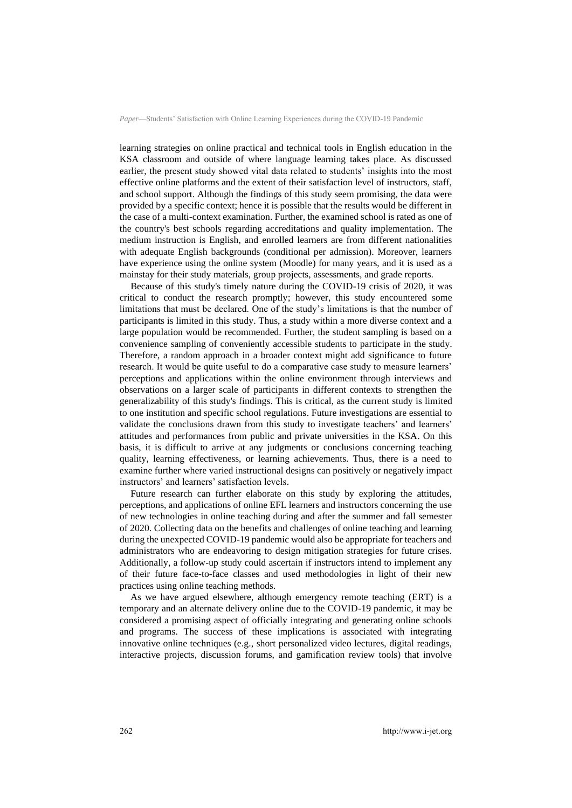learning strategies on online practical and technical tools in English education in the KSA classroom and outside of where language learning takes place. As discussed earlier, the present study showed vital data related to students' insights into the most effective online platforms and the extent of their satisfaction level of instructors, staff, and school support. Although the findings of this study seem promising, the data were provided by a specific context; hence it is possible that the results would be different in the case of a multi-context examination. Further, the examined school is rated as one of the country's best schools regarding accreditations and quality implementation. The medium instruction is English, and enrolled learners are from different nationalities with adequate English backgrounds (conditional per admission). Moreover, learners have experience using the online system (Moodle) for many years, and it is used as a mainstay for their study materials, group projects, assessments, and grade reports.

Because of this study's timely nature during the COVID-19 crisis of 2020, it was critical to conduct the research promptly; however, this study encountered some limitations that must be declared. One of the study's limitations is that the number of participants is limited in this study. Thus, a study within a more diverse context and a large population would be recommended. Further, the student sampling is based on a convenience sampling of conveniently accessible students to participate in the study. Therefore, a random approach in a broader context might add significance to future research. It would be quite useful to do a comparative case study to measure learners' perceptions and applications within the online environment through interviews and observations on a larger scale of participants in different contexts to strengthen the generalizability of this study's findings. This is critical, as the current study is limited to one institution and specific school regulations. Future investigations are essential to validate the conclusions drawn from this study to investigate teachers' and learners' attitudes and performances from public and private universities in the KSA. On this basis, it is difficult to arrive at any judgments or conclusions concerning teaching quality, learning effectiveness, or learning achievements. Thus, there is a need to examine further where varied instructional designs can positively or negatively impact instructors' and learners' satisfaction levels.

Future research can further elaborate on this study by exploring the attitudes, perceptions, and applications of online EFL learners and instructors concerning the use of new technologies in online teaching during and after the summer and fall semester of 2020. Collecting data on the benefits and challenges of online teaching and learning during the unexpected COVID-19 pandemic would also be appropriate for teachers and administrators who are endeavoring to design mitigation strategies for future crises. Additionally, a follow-up study could ascertain if instructors intend to implement any of their future face-to-face classes and used methodologies in light of their new practices using online teaching methods.

As we have argued elsewhere, although emergency remote teaching (ERT) is a temporary and an alternate delivery online due to the COVID-19 pandemic, it may be considered a promising aspect of officially integrating and generating online schools and programs. The success of these implications is associated with integrating innovative online techniques (e.g., short personalized video lectures, digital readings, interactive projects, discussion forums, and gamification review tools) that involve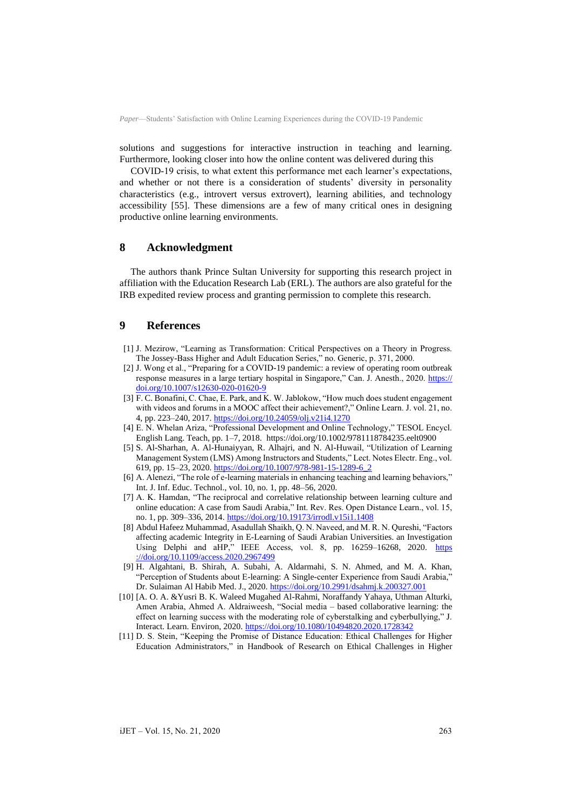solutions and suggestions for interactive instruction in teaching and learning. Furthermore, looking closer into how the online content was delivered during this

COVID-19 crisis, to what extent this performance met each learner's expectations, and whether or not there is a consideration of students' diversity in personality characteristics (e.g., introvert versus extrovert), learning abilities, and technology accessibility [55]. These dimensions are a few of many critical ones in designing productive online learning environments.

# **8 Acknowledgment**

The authors thank Prince Sultan University for supporting this research project in affiliation with the Education Research Lab (ERL). The authors are also grateful for the IRB expedited review process and granting permission to complete this research.

# **9 References**

- [1] J. Mezirow, "Learning as Transformation: Critical Perspectives on a Theory in Progress. The Jossey-Bass Higher and Adult Education Series," no. Generic, p. 371, 2000.
- [2] J. Wong et al., "Preparing for a COVID-19 pandemic: a review of operating room outbreak response measures in a large tertiary hospital in Singapore," Can. J. Anesth., 2020. [https://](https://doi.org/10.1007/s12630-020-01620-9) [doi.org/10.1007/s12630-020-01620-9](https://doi.org/10.1007/s12630-020-01620-9)
- [3] F. C. Bonafini, C. Chae, E. Park, and K. W. Jablokow, "How much does student engagement with videos and forums in a MOOC affect their achievement?," Online Learn. J. vol. 21, no. 4, pp. 223–240, 2017. <https://doi.org/10.24059/olj.v21i4.1270>
- [4] E. N. Whelan Ariza, "Professional Development and Online Technology," TESOL Encycl. English Lang. Teach, pp. 1–7, 2018. <https://doi.org/10.1002/9781118784235.eelt0900>
- [5] S. Al-Sharhan, A. Al-Hunaiyyan, R. Alhajri, and N. Al-Huwail, "Utilization of Learning Management System (LMS) Among Instructors and Students," Lect. Notes Electr. Eng., vol. 619, pp. 15–23, 2020. [https://doi.org/10.1007/978-981-15-1289-6\\_2](https://doi.org/10.1007/978-981-15-1289-6_2)
- [6] A. Alenezi, "The role of e-learning materials in enhancing teaching and learning behaviors," Int. J. Inf. Educ. Technol., vol. 10, no. 1, pp. 48–56, 2020.
- [7] A. K. Hamdan, "The reciprocal and correlative relationship between learning culture and online education: A case from Saudi Arabia," Int. Rev. Res. Open Distance Learn., vol. 15, no. 1, pp. 309–336, 2014. <https://doi.org/10.19173/irrodl.v15i1.1408>
- [8] Abdul Hafeez Muhammad, Asadullah Shaikh, Q. N. Naveed, and M. R. N. Qureshi, "Factors affecting academic Integrity in E-Learning of Saudi Arabian Universities. an Investigation Using Delphi and aHP," IEEE Access, vol. 8, pp. 16259-16268, 2020. [https](https://doi.org/10.1109/access.2020.2967499) [://doi.org/10.1109/access.2020.2967499](https://doi.org/10.1109/access.2020.2967499)
- [9] H. Algahtani, B. Shirah, A. Subahi, A. Aldarmahi, S. N. Ahmed, and M. A. Khan, "Perception of Students about E-learning: A Single-center Experience from Saudi Arabia," Dr. Sulaiman Al Habib Med. J., 2020. <https://doi.org/10.2991/dsahmj.k.200327.001>
- [10] [A. O. A. &Yusri B. K. Waleed Mugahed Al-Rahmi, Noraffandy Yahaya, Uthman Alturki, Amen Arabia, Ahmed A. Aldraiweesh, "Social media – based collaborative learning: the effect on learning success with the moderating role of cyberstalking and cyberbullying," J. Interact. Learn. Environ, 2020. <https://doi.org/10.1080/10494820.2020.1728342>
- [11] D. S. Stein, "Keeping the Promise of Distance Education: Ethical Challenges for Higher Education Administrators," in Handbook of Research on Ethical Challenges in Higher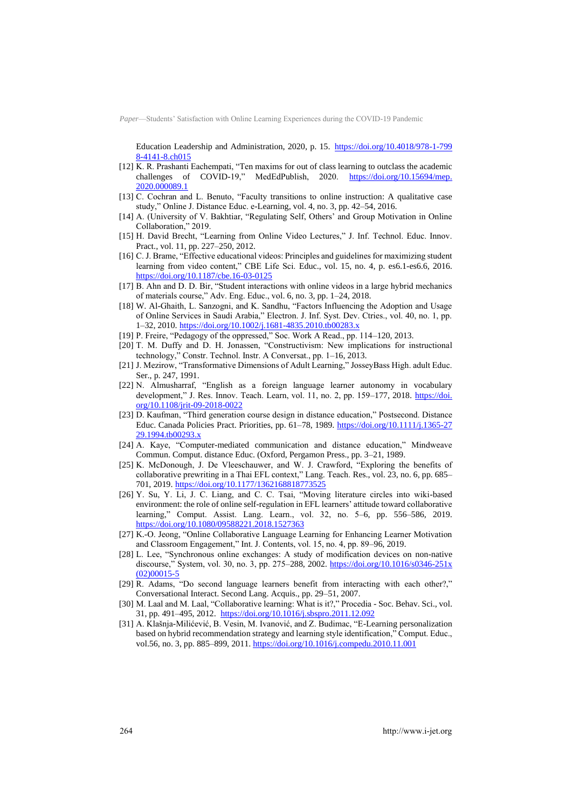Education Leadership and Administration, 2020, p. 15. [https://doi.org/10.4018/978-1-799](https://doi.org/10.4018/978-1-7998-4141-8.ch015) [8-4141-8.ch015](https://doi.org/10.4018/978-1-7998-4141-8.ch015)

- [12] K. R. Prashanti Eachempati, "Ten maxims for out of class learning to outclass the academic challenges of COVID-19," MedEdPublish, 2020. [https://doi.org/10.15694/mep.](https://doi.org/10.15694/mep.2020.000089.1) [2020.000089.1](https://doi.org/10.15694/mep.2020.000089.1)
- [13] C. Cochran and L. Benuto, "Faculty transitions to online instruction: A qualitative case study," Online J. Distance Educ. e-Learning, vol. 4, no. 3, pp. 42–54, 2016.
- [14] A. (University of V. Bakhtiar, "Regulating Self, Others' and Group Motivation in Online Collaboration," 2019.
- [15] H. David Brecht, "Learning from Online Video Lectures," J. Inf. Technol. Educ. Innov. Pract., vol. 11, pp. 227–250, 2012.
- [16] C. J. Brame, "Effective educational videos: Principles and guidelines for maximizing student learning from video content," CBE Life Sci. Educ., vol. 15, no. 4, p. es6.1-es6.6, 2016. <https://doi.org/10.1187/cbe.16-03-0125>
- [17] B. Ahn and D. D. Bir, "Student interactions with online videos in a large hybrid mechanics of materials course," Adv. Eng. Educ., vol. 6, no. 3, pp. 1–24, 2018.
- [18] W. Al-Ghaith, L. Sanzogni, and K. Sandhu, "Factors Influencing the Adoption and Usage of Online Services in Saudi Arabia," Electron. J. Inf. Syst. Dev. Ctries., vol. 40, no. 1, pp. 1–32, 2010. <https://doi.org/10.1002/j.1681-4835.2010.tb00283.x>
- [19] P. Freire, "Pedagogy of the oppressed," Soc. Work A Read., pp. 114–120, 2013.
- [20] T. M. Duffy and D. H. Jonassen, "Constructivism: New implications for instructional technology," Constr. Technol. Instr. A Conversat., pp. 1–16, 2013.
- [21] J. Mezirow, "Transformative Dimensions of Adult Learning," JosseyBass High. adult Educ. Ser., p. 247, 1991.
- [22] N. Almusharraf, "English as a foreign language learner autonomy in vocabulary development," J. Res. Innov. Teach. Learn, vol. 11, no. 2, pp. 159–177, 2018. [https://doi.](https://doi.org/10.1108/jrit-09-2018-0022) [org/10.1108/jrit-09-2018-0022](https://doi.org/10.1108/jrit-09-2018-0022)
- [23] D. Kaufman, "Third generation course design in distance education," Postsecond. Distance Educ. Canada Policies Pract. Priorities, pp. 61–78, 1989. [https://doi.org/10.1111/j.1365-27](https://doi.org/10.1111/j.1365-2729.1994.tb00293.x) [29.1994.tb00293.x](https://doi.org/10.1111/j.1365-2729.1994.tb00293.x)
- [24] A. Kaye, "Computer-mediated communication and distance education," Mindweave Commun. Comput. distance Educ. (Oxford, Pergamon Press., pp. 3–21, 1989.
- [25] K. McDonough, J. De Vleeschauwer, and W. J. Crawford, "Exploring the benefits of collaborative prewriting in a Thai EFL context," Lang. Teach. Res., vol. 23, no. 6, pp. 685– 701, 2019. <https://doi.org/10.1177/1362168818773525>
- [26] Y. Su, Y. Li, J. C. Liang, and C. C. Tsai, "Moving literature circles into wiki-based environment: the role of online self-regulation in EFL learners' attitude toward collaborative learning," Comput. Assist. Lang. Learn., vol. 32, no. 5–6, pp. 556–586, 2019. <https://doi.org/10.1080/09588221.2018.1527363>
- [27] K.-O. Jeong, "Online Collaborative Language Learning for Enhancing Learner Motivation and Classroom Engagement," Int. J. Contents, vol. 15, no. 4, pp. 89–96, 2019.
- [28] L. Lee, "Synchronous online exchanges: A study of modification devices on non-native discourse," System, vol. 30, no. 3, pp. 275–288, 2002. [https://doi.org/10.1016/s0346-251x](https://doi.org/10.1016/s0346-251x(02)00015-5) [\(02\)00015-5](https://doi.org/10.1016/s0346-251x(02)00015-5)
- [29] R. Adams, "Do second language learners benefit from interacting with each other?," Conversational Interact. Second Lang. Acquis., pp. 29–51, 2007.
- [30] M. Laal and M. Laal, "Collaborative learning: What is it?," Procedia Soc. Behav. Sci., vol. 31, pp. 491–495, 2012. <https://doi.org/10.1016/j.sbspro.2011.12.092>
- [31] A. Klašnja-Milićević, B. Vesin, M. Ivanović, and Z. Budimac, "E-Learning personalization based on hybrid recommendation strategy and learning style identification," Comput. Educ., vol.56, no. 3, pp. 885–899, 2011. <https://doi.org/10.1016/j.compedu.2010.11.001>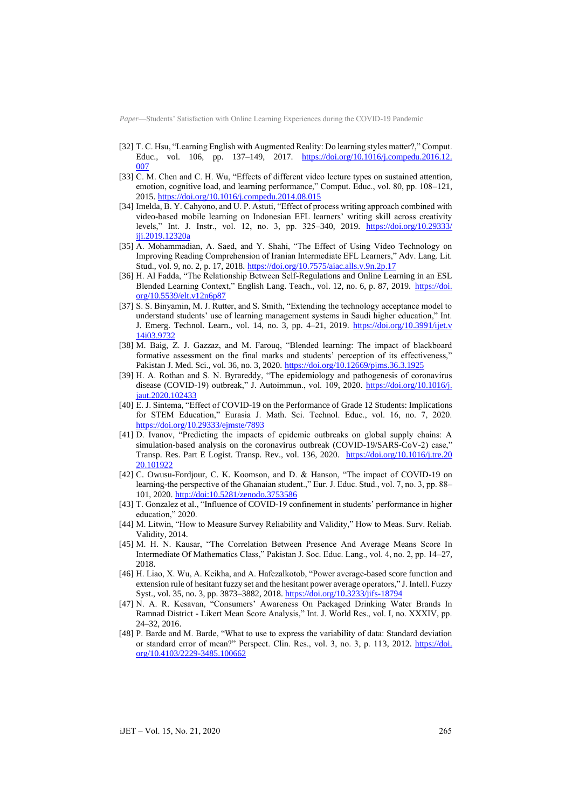- [32] T. C. Hsu, "Learning English with Augmented Reality: Do learning styles matter?," Comput. Educ., vol. 106, pp. 137–149, 2017. [https://doi.org/10.1016/j.compedu.2016.12.](https://doi.org/10.1016/j.compedu.2016.12.007) [007](https://doi.org/10.1016/j.compedu.2016.12.007)
- [33] C. M. Chen and C. H. Wu, "Effects of different video lecture types on sustained attention, emotion, cognitive load, and learning performance," Comput. Educ., vol. 80, pp. 108–121, 2015. <https://doi.org/10.1016/j.compedu.2014.08.015>
- [34] Imelda, B. Y. Cahyono, and U. P. Astuti, "Effect of process writing approach combined with video-based mobile learning on Indonesian EFL learners' writing skill across creativity levels," Int. J. Instr., vol. 12, no. 3, pp. 325–340, 2019. [https://doi.org/10.29333/](https://doi.org/10.29333/iji.2019.12320a) [iji.2019.12320a](https://doi.org/10.29333/iji.2019.12320a)
- [35] A. Mohammadian, A. Saed, and Y. Shahi, "The Effect of Using Video Technology on Improving Reading Comprehension of Iranian Intermediate EFL Learners," Adv. Lang. Lit. Stud., vol. 9, no. 2, p. 17, 2018. <https://doi.org/10.7575/aiac.alls.v.9n.2p.17>
- [36] H. Al Fadda, "The Relationship Between Self-Regulations and Online Learning in an ESL Blended Learning Context," English Lang. Teach., vol. 12, no. 6, p. 87, 2019. [https://doi.](https://doi.org/10.5539/elt.v12n6p87) [org/10.5539/elt.v12n6p87](https://doi.org/10.5539/elt.v12n6p87)
- [37] S. S. Binyamin, M. J. Rutter, and S. Smith, "Extending the technology acceptance model to understand students' use of learning management systems in Saudi higher education," Int. J. Emerg. Technol. Learn., vol. 14, no. 3, pp. 4–21, 2019. [https://doi.org/10.3991/ijet.v](https://doi.org/10.3991/ijet.v14i03.9732) [14i03.9732](https://doi.org/10.3991/ijet.v14i03.9732)
- [38] M. Baig, Z. J. Gazzaz, and M. Farouq, "Blended learning: The impact of blackboard formative assessment on the final marks and students' perception of its effectiveness," Pakistan J. Med. Sci., vol. 36, no. 3, 2020. <https://doi.org/10.12669/pjms.36.3.1925>
- [39] H. A. Rothan and S. N. Byrareddy, "The epidemiology and pathogenesis of coronavirus disease (COVID-19) outbreak," J. Autoimmun., vol. 109, 2020. [https://doi.org/10.1016/j.](https://doi.org/10.1016/j.jaut.2020.102433) [jaut.2020.102433](https://doi.org/10.1016/j.jaut.2020.102433)
- [40] E. J. Sintema, "Effect of COVID-19 on the Performance of Grade 12 Students: Implications for STEM Education," Eurasia J. Math. Sci. Technol. Educ., vol. 16, no. 7, 2020. <https://doi.org/10.29333/ejmste/7893>
- [41] D. Ivanov, "Predicting the impacts of epidemic outbreaks on global supply chains: A simulation-based analysis on the coronavirus outbreak (COVID-19/SARS-CoV-2) case," Transp. Res. Part E Logist. Transp. Rev., vol. 136, 2020. [https://doi.org/10.1016/j.tre.20](https://doi.org/10.1016/j.tre.2020.101922) [20.101922](https://doi.org/10.1016/j.tre.2020.101922)
- [42] C. Owusu-Fordjour, C. K. Koomson, and D. & Hanson, "The impact of COVID-19 on learning-the perspective of the Ghanaian student.," Eur. J. Educ. Stud., vol. 7, no. 3, pp. 88– 101, 2020. [http://doi:10.5281/zenodo.3753586](about:blank)
- [43] T. Gonzalez et al., "Influence of COVID-19 confinement in students' performance in higher education," 2020.
- [44] M. Litwin, "How to Measure Survey Reliability and Validity," How to Meas. Surv. Reliab. Validity, 2014.
- [45] M. H. N. Kausar, "The Correlation Between Presence And Average Means Score In Intermediate Of Mathematics Class," Pakistan J. Soc. Educ. Lang., vol. 4, no. 2, pp. 14–27, 2018.
- [46] H. Liao, X. Wu, A. Keikha, and A. Hafezalkotob, "Power average-based score function and extension rule of hesitant fuzzy set and the hesitant power average operators," J. Intell. Fuzzy Syst., vol. 35, no. 3, pp. 3873–3882, 2018. <https://doi.org/10.3233/jifs-18794>
- [47] N. A. R. Kesavan, "Consumers' Awareness On Packaged Drinking Water Brands In Ramnad District - Likert Mean Score Analysis," Int. J. World Res., vol. I, no. XXXIV, pp. 24–32, 2016.
- [48] P. Barde and M. Barde, "What to use to express the variability of data: Standard deviation or standard error of mean?" Perspect. Clin. Res., vol. 3, no. 3, p. 113, 2012. [https://doi.](https://doi.org/10.4103/2229-3485.100662) [org/10.4103/2229-3485.100662](https://doi.org/10.4103/2229-3485.100662)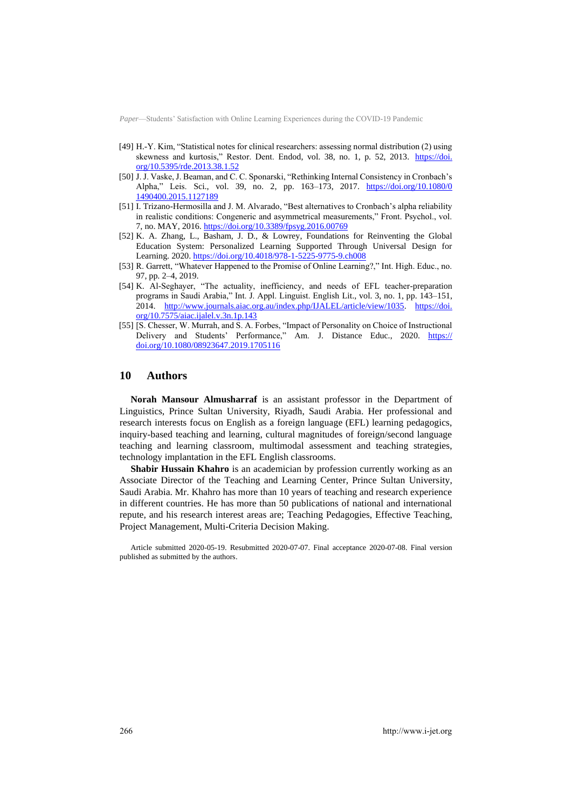- [49] H.-Y. Kim, "Statistical notes for clinical researchers: assessing normal distribution (2) using skewness and kurtosis," Restor. Dent. Endod, vol. 38, no. 1, p. 52, 2013. [https://doi.](https://doi.org/10.5395/rde.2013.38.1.52) [org/10.5395/rde.2013.38.1.52](https://doi.org/10.5395/rde.2013.38.1.52)
- [50] J. J. Vaske, J. Beaman, and C. C. Sponarski, "Rethinking Internal Consistency in Cronbach's Alpha," Leis. Sci., vol. 39, no. 2, pp. 163–173, 2017. [https://doi.org/10.1080/0](https://doi.org/10.1080/01490400.2015.1127189) [1490400.2015.1127189](https://doi.org/10.1080/01490400.2015.1127189)
- [51] I. Trizano-Hermosilla and J. M. Alvarado, "Best alternatives to Cronbach's alpha reliability in realistic conditions: Congeneric and asymmetrical measurements," Front. Psychol., vol. 7, no. MAY, 2016. <https://doi.org/10.3389/fpsyg.2016.00769>
- [52] K. A. Zhang, L., Basham, J. D., & Lowrey, Foundations for Reinventing the Global Education System: Personalized Learning Supported Through Universal Design for Learning. 2020. <https://doi.org/10.4018/978-1-5225-9775-9.ch008>
- [53] R. Garrett, "Whatever Happened to the Promise of Online Learning?," Int. High. Educ., no. 97, pp. 2–4, 2019.
- [54] K. Al-Seghayer, "The actuality, inefficiency, and needs of EFL teacher-preparation programs in Saudi Arabia," Int. J. Appl. Linguist. English Lit., vol. 3, no. 1, pp. 143–151, 2014. [http://www.journals.aiac.org.au/index.php/IJALEL/article/view/1035.](http://www.journals.aiac.org.au/index.php/IJALEL/article/view/1035) [https://doi.](https://doi.org/10.7575/aiac.ijalel.v.3n.1p.143) [org/10.7575/aiac.ijalel.v.3n.1p.143](https://doi.org/10.7575/aiac.ijalel.v.3n.1p.143)
- [55] [S. Chesser, W. Murrah, and S. A. Forbes, "Impact of Personality on Choice of Instructional Delivery and Students' Performance," Am. J. Distance Educ., 2020. [https://](https://doi.org/10.1080/08923647.2019.1705116) [doi.org/10.1080/08923647.2019.1705116](https://doi.org/10.1080/08923647.2019.1705116)

# **10 Authors**

**Norah Mansour Almusharraf** is an assistant professor in the Department of Linguistics, Prince Sultan University, Riyadh, Saudi Arabia. Her professional and research interests focus on English as a foreign language (EFL) learning pedagogics, inquiry-based teaching and learning, cultural magnitudes of foreign/second language teaching and learning classroom, multimodal assessment and teaching strategies, technology implantation in the EFL English classrooms.

**Shabir Hussain Khahro** is an academician by profession currently working as an Associate Director of the Teaching and Learning Center, Prince Sultan University, Saudi Arabia. Mr. Khahro has more than 10 years of teaching and research experience in different countries. He has more than 50 publications of national and international repute, and his research interest areas are; Teaching Pedagogies, Effective Teaching, Project Management, Multi-Criteria Decision Making.

Article submitted 2020-05-19. Resubmitted 2020-07-07. Final acceptance 2020-07-08. Final version published as submitted by the authors.